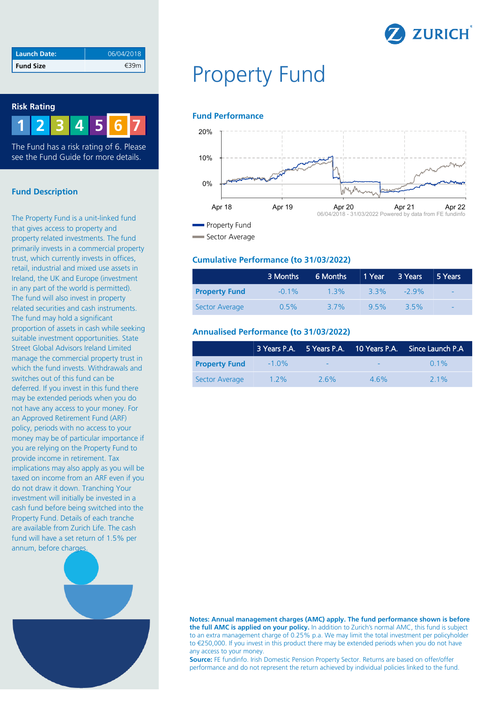

| Launch Date:     | 06/04/2018 |
|------------------|------------|
| <b>Fund Size</b> |            |

### **Risk Rating**



The Fund has a risk rating of 6. Please see the Fund Guide for more details.

# **Fund Description**

The Property Fund is a unit-linked fund that gives access to property and property related investments. The fund primarily invests in a commercial property trust, which currently invests in offices, retail, industrial and mixed use assets in Ireland, the UK and Europe (investment in any part of the world is permitted). The fund will also invest in property related securities and cash instruments. The fund may hold a significant proportion of assets in cash while seeking suitable investment opportunities. State Street Global Advisors Ireland Limited manage the commercial property trust in which the fund invests. Withdrawals and switches out of this fund can be deferred. If you invest in this fund there may be extended periods when you do not have any access to your money. For an Approved Retirement Fund (ARF) policy, periods with no access to your money may be of particular importance if you are relying on the Property Fund to provide income in retirement. Tax implications may also apply as you will be taxed on income from an ARF even if you do not draw it down. Tranching Your investment will initially be invested in a cash fund before being switched into the Property Fund. Details of each tranche are available from Zurich Life. The cash fund will have a set return of 1.5% per annum, before charges.



# Property Fund

#### **Fund Performance**



#### **Cumulative Performance (to 31/03/2022)**

|                      | 3 Months | 6 Months 1 Year 3 Years |      |         | 5 Years                  |
|----------------------|----------|-------------------------|------|---------|--------------------------|
| <b>Property Fund</b> | $-0.1\%$ | $1.3\%$                 | 33%  | $-29\%$ | $\overline{\phantom{a}}$ |
| Sector Average       | 0.5%     | 3.7%                    | 9.5% | $3.5\%$ | $\overline{\phantom{0}}$ |

### **Annualised Performance (to 31/03/2022)**

|                      |          |         |     | 3 Years P.A. 5 Years P.A. 10 Years P.A. Since Launch P.A |
|----------------------|----------|---------|-----|----------------------------------------------------------|
| <b>Property Fund</b> | $-1.0\%$ |         |     | $0.1\%$                                                  |
| Sector Average       | $1.2\%$  | $2.6\%$ | 46% | $21\%$                                                   |

**Notes: Annual management charges (AMC) apply. The fund performance shown is before the full AMC is applied on your policy.** In addition to Zurich's normal AMC, this fund is subject to an extra management charge of 0.25% p.a. We may limit the total investment per policyholder to €250,000. If you invest in this product there may be extended periods when you do not have any access to your money.

**Source:** FE fundinfo. Irish Domestic Pension Property Sector. Returns are based on offer/offer performance and do not represent the return achieved by individual policies linked to the fund.